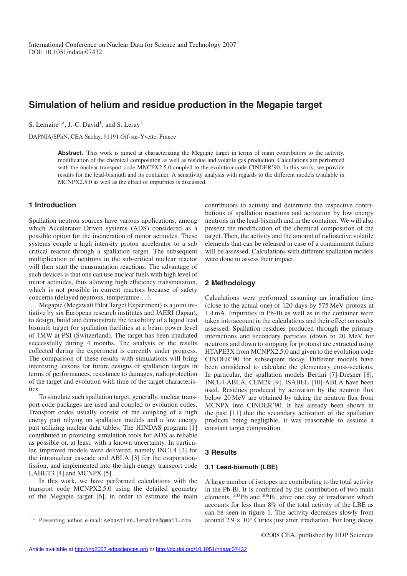# **Simulation of helium and residue production in the Megapie target**

S. Lemaire<sup>1,a</sup>, J.-C. David<sup>1</sup>, and S. Leray<sup>1</sup>

DAPNIA/SPhN, CEA Saclay, 91191 Gif-sur-Yvette, France

Abstract. This work is aimed at characterizing the Megapie target in terms of main contributors to the activity, modification of the chemical composition as well as residue and volatile gas production. Calculations are performed with the nuclear transport code MNCPX2.5.0 coupled to the evolution code CINDER'90. In this work, we provide results for the lead-bismuth and its container. A sensitivity analysis with regards to the different models available in MCNPX2.5.0 as well as the effect of impurities is discussed.

# **1 Introduction**

Spallation neutron sources have various applications, among which Accelerator Driven systems (ADS) considered as a possible option for the incineration of minor actinides. These systems couple a high intensity proton accelerator to a sub critical reactor through a spallation target. The subsequent multiplication of neutrons in the sub-critical nuclear reactor will then start the transmutation reactions. The advantage of such devices is that one can use nuclear fuels with high level of minor actinides, thus allowing high efficiency transmutation, which is not possible in current reactors because of safety concerns (delayed neutrons, temperature. . . ).

Megapie (Megawatt Pilot Target Experiment) is a joint initiative by six European research institutes and JAERI (Japan), to design, build and demonstrate the feasibility of a liquid lead bismuth target for spallation facilities at a beam power level of 1MW at PSI (Switzerland). The target has been irradiated successfully during 4 months. The analysis of the results collected during the experiment is currently under progress. The comparison of these results with simulations will bring interesting lessons for future designs of spallation targets in terms of performances, resistance to damages, radioprotection of the target and evolution with time of the target characteristics.

To simulate such spallation target, generally, nuclear transport code packages are used and coupled to evolution codes. Transport codes usually consist of the coupling of a high energy part relying on spallation models and a low energy part utilizing nuclear data tables. The HINDAS program [1] contributed in providing simulation tools for ADS as reliable as possible or, at least, with a known uncertainty. In particular, improved models were delivered, namely INCL4 [2] for the intranuclear cascade and ABLA [3] for the evaporationfission, and implemented into the high energy transport code LAHET3 [4] and MCNPX [5].

In this work, we have performed calculations with the transport code MCNPX2.5.0 using the detailed geometry of the Megapie target [6], in order to estimate the main contributors to activity and determine the respective contributions of spallation reactions and activation by low energy neutrons in the lead-bismuth and in the container. We will also present the modification of the chemical composition of the target. Then, the activity and the amount of radioactive volatile elements that can be released in case of a containment failure will be assessed. Calculations with different spallation models were done to assess their impact.

## **2 Methodology**

Calculations were performed assuming an irradiation time (close to the actual one) of 120 days by 575 MeV protons at 1.4 mA. Impurities in Pb-Bi as well as in the container were taken into account in the calculations and their effect on results assessed. Spallation residues produced through the primary interactions and secondary particles (down to 20 MeV for neutrons and down to stopping for protons) are extracted using HTAPE3X from MCNPX2.5.0 and given to the evolution code CINDER'90 for subsequent decay. Different models have been considered to calculate the elementary cross-sections. In particular, the spallation models Bertini [7]-Dresner [8], INCL4-ABLA, CEM2k [9], ISABEL [10]-ABLA have been used. Residues produced by activation by the neutron flux below 20 MeV are obtained by taking the neutron flux from MCNPX into CINDER'90. It has already been shown in the past [11] that the secondary activation of the spallation products being negligible, it was reasonable to assume a constant target composition.

## **3 Results**

# **3.1 Lead-bismuth (LBE)**

A large number of isotopes are contributing to the total activity in the Pb-Bi. It is confirmed by the contribution of two main elements, 203Pb and 206Bi, after one day of irradiation which accounts for less than 8% of the total activity of the LBE as can be seen in figure 1. The activity decreases slowly from around  $2.9 \times 10^5$  Curies just after irradiation. For long decay

Presenting author, e-mail: sebastien.lemaire@gmail.com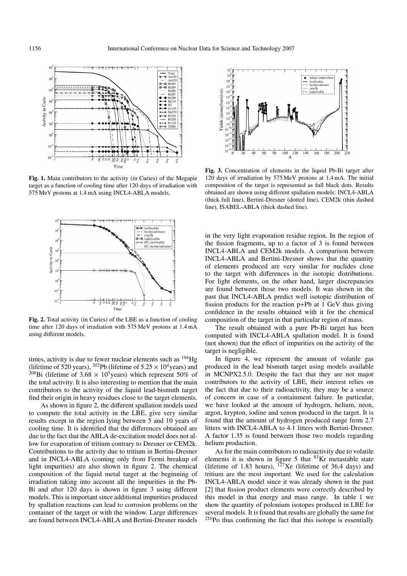

**Fig. 1.** Main contributors to the activity (in Curies) of the Megapie target as a function of cooling time after 120 days of irradiation with 575 MeV protons at 1.4 mA using INCL4-ABLA models.



**Fig. 2.** Total activity (in Curies) of the LBE as a function of cooling time after 120 days of irradiation with 575 MeV protons at 1.4 mA using different models.

times, activity is due to fewer nuclear elements such as <sup>194</sup>Hg (lifetime of 520 years), <sup>202</sup>Pb (lifetime of  $5.25 \times 10^4$  years) and <sup>208</sup>Bi (lifetime of 3.68  $\times$  10<sup>5</sup> years) which represent 50% of the total activity. It is also interesting to mention that the main contributors to the activity of the liquid lead-bismuth target find their origin in heavy residues close to the target elements.

As shown in figure 2, the different spallation models used to compute the total activity in the LBE, give very similar results except in the region lying between 5 and 10 years of cooling time. It is identified that the differences obtained are due to the fact that the ABLA de-excitation model does not allow for evaporation of tritium contrary to Dresner or CEM2k. Contributions to the activity due to tritium in Bertini-Dresner and in INCL4-ABLA (coming only from Fermi breakup of light impurities) are also shown in figure 2. The chemical composition of the liquid metal target at the beginning of irradiation taking into account all the impurities in the Pb-Bi and after 120 days is shown in figure 3 using different models. This is important since additional impurities produced by spallation reactions can lead to corrosion problems on the container of the target or with the window. Large differences are found between INCL4-ABLA and Bertini-Dresner models



**Fig. 3.** Concentration of elements in the liquid Pb-Bi target after 120 days of irradiation by 575 MeV protons at 1.4 mA. The initial composition of the target is represented as full black dots. Results obtained are shown using different spallation models: INCL4-ABLA (thick full line), Bertini-Dresner (dotted line), CEM2k (thin dashed line), ISABEL-ABLA (thick dashed line).

in the very light evaporation residue region. In the region of the fission fragments, up to a factor of 3 is found between INCL4-ABLA and CEM2k models. A comparison between INCL4-ABLA and Bertini-Dresner shows that the quantity of elements produced are very similar for nuclides close to the target with differences in the isotopic distributions. For light elements, on the other hand, larger discrepancies are found between those two models. It was shown in the past that INCL4-ABLA predict well isotopic distribution of fission products for the reaction p+Pb at 1 GeV thus giving confidence in the results obtained with it for the chemical composition of the target in that particular region of mass.

The result obtained with a pure Pb-Bi target has been computed with INCL4-ABLA spallation model. It is found (not shown) that the effect of impurities on the activity of the target is negligible.

In figure 4, we represent the amount of volatile gas produced in the lead bismuth target using models available in MCNPX2.5.0. Despite the fact that they are not major contributors to the activity of LBE, their interest relies on the fact that due to their radioactivity, they may be a source of concern in case of a containment failure. In particular, we have looked at the amount of hydrogen, helium, neon, argon, krypton, iodine and xenon produced in the target. It is found that the amount of hydrogen produced range from 2.7 litters with INCL4-ABLA to 4.1 litters with Bertini-Dresner. A factor 1.35 is found between those two models regarding helium production.

As for the main contributors to radioactivity due to volatile elements it is shown in figure 5 that  $83$ Kr metastable state (lifetime of 1.83 hours),  $^{127}$ Xe (lifetime of 36.4 days) and tritium are the most important. We used for the calculation INCL4-ABLA model since it was already shown in the past [2] that fission product elements were correctly described by this model in that energy and mass range. In table 1 we show the quantity of polonium isotopes produced in LBE for several models. It is found that results are globally the same for 210Po thus confirming the fact that this isotope is essentially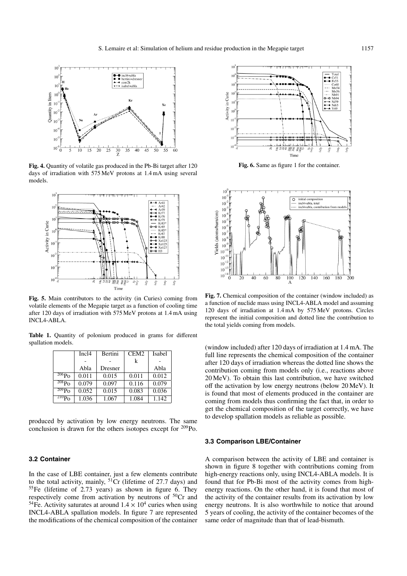

**Fig. 4.** Quantity of volatile gas produced in the Pb-Bi target after 120 days of irradiation with 575 MeV protons at 1.4 mA using several models.



**Fig. 5.** Main contributors to the activity (in Curies) coming from volatile elements of the Megapie target as a function of cooling time after 120 days of irradiation with 575 MeV protons at 1.4 mA using INCL4-ABLA.

**Table 1.** Quantity of polonium produced in grams for different spallation models.

|                        | Inc <sub>14</sub> | Bertini | CEM <sub>2</sub> | Isabel |
|------------------------|-------------------|---------|------------------|--------|
|                        |                   |         | k                |        |
|                        | Abla              | Dresner |                  | Abla   |
| $206P_0$               | 0.011             | 0.015   | 0.011            | 0.012  |
| 208P <sub>0</sub>      | 0.079             | 0.097   | 0.116            | 0.079  |
| 209P <sub>O</sub>      | 0.052             | 0.015   | 0.083            | 0.036  |
| $\overline{^{210}P_0}$ | 1.036             | 1.067   | 1.084            | 1.142  |

produced by activation by low energy neutrons. The same conclusion is drawn for the others isotopes except for 209Po.

# **3.2 Container**

In the case of LBE container, just a few elements contribute to the total activity, mainly,  ${}^{51}Cr$  (lifetime of 27.7 days) and  ${}^{55}Fe$  (lifetime of 2.73 years) as shown in figure 6. They respectively come from activation by neutrons of  $50Cr$  and <sup>54</sup>Fe. Activity saturates at around  $1.4 \times 10^4$  curies when using INCL4-ABLA spallation models. In figure 7 are represented the modifications of the chemical composition of the container



**Fig. 6.** Same as figure 1 for the container.



**Fig. 7.** Chemical composition of the container (window included) as a function of nuclide mass using INCL4-ABLA model and assuming 120 days of irradiation at 1.4 mA by 575 MeV protons. Circles represent the initial composition and dotted line the contribution to the total yields coming from models.

(window included) after 120 days of irradiation at 1.4 mA. The full line represents the chemical composition of the container after 120 days of irradiation whereas the dotted line shows the contribution coming from models only (i.e., reactions above 20 MeV). To obtain this last contribution, we have switched off the activation by low energy neutrons (below 20 MeV). It is found that most of elements produced in the container are coming from models thus confirming the fact that, in order to get the chemical composition of the target correctly, we have to develop spallation models as reliable as possible.

#### **3.3 Comparison LBE/Container**

A comparison between the activity of LBE and container is shown in figure 8 together with contributions coming from high-energy reactions only, using INCL4-ABLA models. It is found that for Pb-Bi most of the activity comes from highenergy reactions. On the other hand, it is found that most of the activity of the container results from its activation by low energy neutrons. It is also worthwhile to notice that around 5 years of cooling, the activity of the container becomes of the same order of magnitude than that of lead-bismuth.